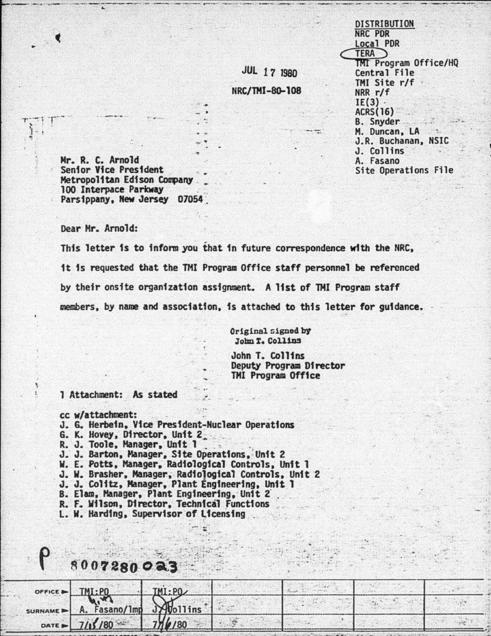**DISTRIBUTION NRC PDR Local PDR TERA** TMI Program Office/HQ Central File TMI Site r/f  $NRR r/f$  $IE(3)$ . **ACRS(16) B.** Snyder M. Duncan, LA J.R. Buchanan, NSIC J. Collins A. Fasano Site Operations File

Mr. R. C. Arnold Senior Vice President Metropolitan Edison Company 100 Interpace Parkway Parsippany, New Jersey 07054

Dear Mr. Arnold:

This letter is to inform you that in future correspondence with the NRC. it is requested that the TMI Program Office staff personnel be referenced by their onsite organization assignment. A list of TMI Program staff members, by name and association, is attached to this letter for guidance.

> Original signed by John T. Collins

**JUL 17 1980** 

NRC/TMI-80-108

John T. Collins Deputy Program Director **TMI Program Office** 

1 Attachment: As stated

- cc w/attachment:
- J. G. Herbein, Vice President-Nuclear Operations
- G. K. Hovey, Director, Unit 2
- R. J. Toole, Manager, Unit 1

 $0.07290023$ 

- J. J. Barton, Manager, Site Operations, Unit 2
- W. E. Potts, Manager, Radiological Controls, Unit 1
- J. W. Brasher, Manager, Radiological Controls, Unit 2
- J. J. Colitz, Manager, Plant Engineering, Unit 1
- B. Elam, Manager, Plant Engineering, Unit 2
- R. F. Wilson, Director, Technical Functions
- L. W. Harding, Supervisor of Licensing

| $OFFICE = 111.29$                                                                               |  |  |  |
|-------------------------------------------------------------------------------------------------|--|--|--|
| SURNAME - A. Fasano/1mp Sylvollins                                                              |  |  |  |
|                                                                                                 |  |  |  |
| the contract of the contract of the contract of the contract of the contract of the contract of |  |  |  |